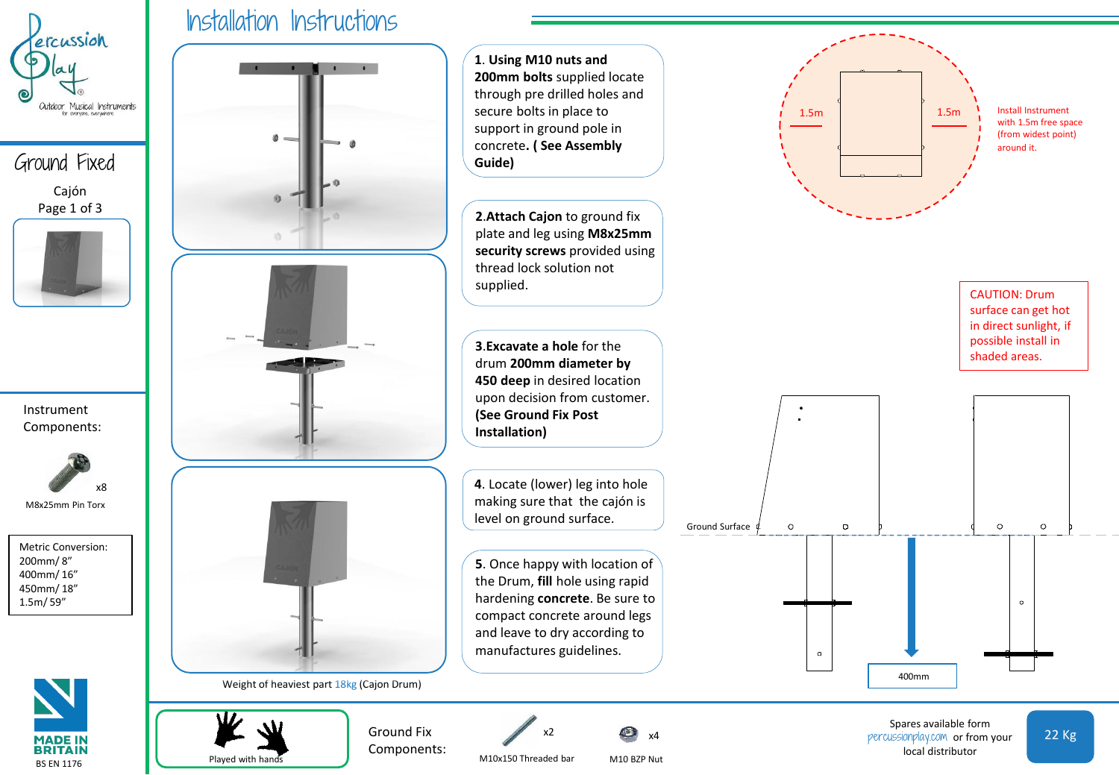

Ground Fixed Cajón Page 1 of 3



Instrument Components:



M8x25mm Pin Torx

Metric Conversion: 200mm/ 8" 400mm/ 16" 450mm/ 18" 1.5m/ 59"



Played with hands





 $\circ$ 400mm Spares available form percussionplay.com or from your

 $\circ$ 

 $\circ$ 

local distributor

 $\circ$ 

22 Kg

Install Instrument with 1.5m free space (from widest point) around it.

CAUTION: Drum surface can get hot in direct sunlight, if possible install in shaded areas.

M10x150 Threaded bar

Ground Fix Components:

x2

M10 BZP Nut

x4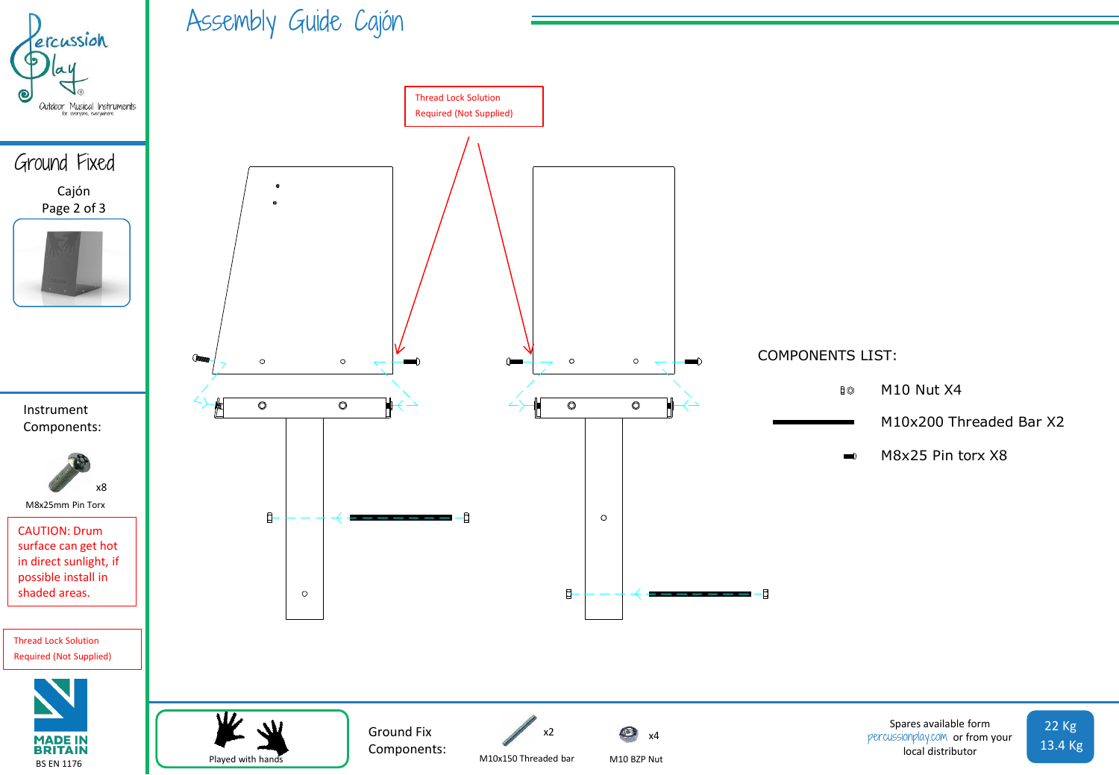